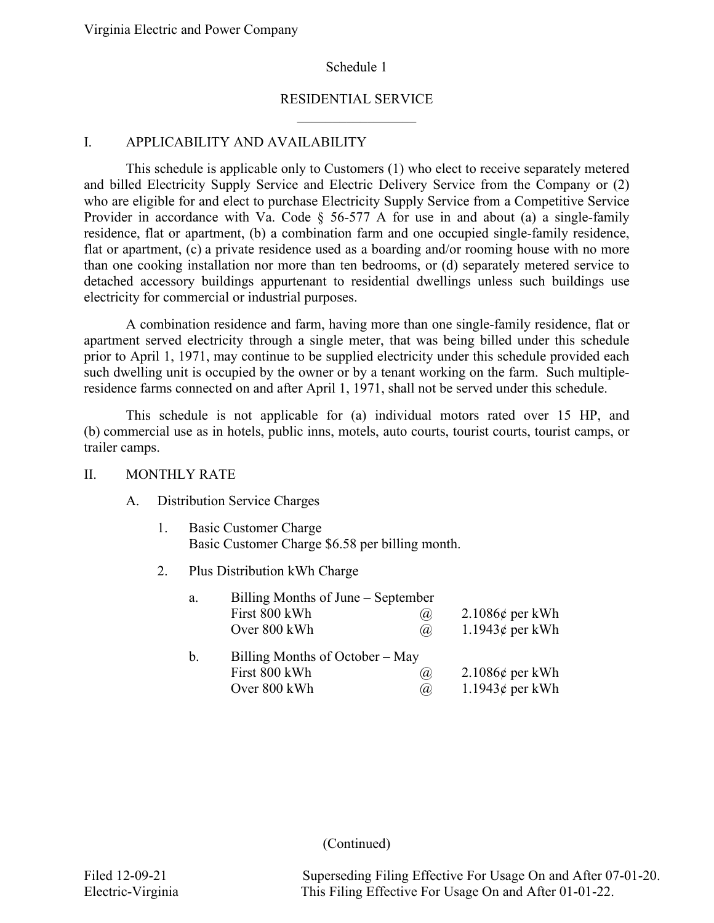### Schedule 1

### RESIDENTIAL SERVICE  $\mathcal{L}_\text{max}$  , which is a set of the set of the set of the set of the set of the set of the set of the set of the set of the set of the set of the set of the set of the set of the set of the set of the set of the set of

## I. APPLICABILITY AND AVAILABILITY

This schedule is applicable only to Customers (1) who elect to receive separately metered and billed Electricity Supply Service and Electric Delivery Service from the Company or (2) who are eligible for and elect to purchase Electricity Supply Service from a Competitive Service Provider in accordance with Va. Code § 56-577 A for use in and about (a) a single-family residence, flat or apartment, (b) a combination farm and one occupied single-family residence, flat or apartment, (c) a private residence used as a boarding and/or rooming house with no more than one cooking installation nor more than ten bedrooms, or (d) separately metered service to detached accessory buildings appurtenant to residential dwellings unless such buildings use electricity for commercial or industrial purposes.

A combination residence and farm, having more than one single-family residence, flat or apartment served electricity through a single meter, that was being billed under this schedule prior to April 1, 1971, may continue to be supplied electricity under this schedule provided each such dwelling unit is occupied by the owner or by a tenant working on the farm. Such multipleresidence farms connected on and after April 1, 1971, shall not be served under this schedule.

This schedule is not applicable for (a) individual motors rated over 15 HP, and (b) commercial use as in hotels, public inns, motels, auto courts, tourist courts, tourist camps, or trailer camps.

#### II. MONTHLY RATE

#### A. Distribution Service Charges

- 1. Basic Customer Charge Basic Customer Charge \$6.58 per billing month.
- 2. Plus Distribution kWh Charge

| a. | Billing Months of June – September         |                      |  |  |
|----|--------------------------------------------|----------------------|--|--|
|    | First 800 kWh<br>(a)                       | $2.1086\phi$ per kWh |  |  |
|    | Over 800 kWh<br>$\left(\widehat{a}\right)$ | $1.1943¢$ per kWh    |  |  |
| b. | Billing Months of October – May            |                      |  |  |
|    |                                            |                      |  |  |
|    | First 800 kWh<br>(a),                      | $2.1086\phi$ per kWh |  |  |

(Continued)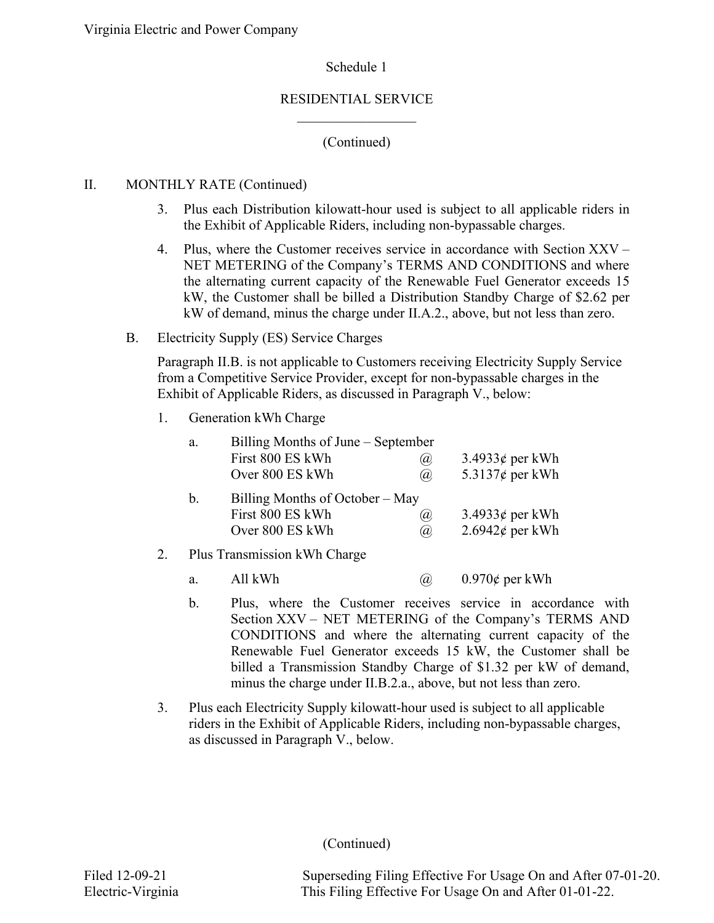### Schedule 1

### RESIDENTIAL SERVICE  $\mathcal{L}_\text{max}$  , which is a set of the set of the set of the set of the set of the set of the set of the set of the set of the set of the set of the set of the set of the set of the set of the set of the set of the set of

## (Continued)

### II. MONTHLY RATE (Continued)

- 3. Plus each Distribution kilowatt-hour used is subject to all applicable riders in the Exhibit of Applicable Riders, including non-bypassable charges.
- 4. Plus, where the Customer receives service in accordance with Section XXV NET METERING of the Company's TERMS AND CONDITIONS and where the alternating current capacity of the Renewable Fuel Generator exceeds 15 kW, the Customer shall be billed a Distribution Standby Charge of \$2.62 per kW of demand, minus the charge under II.A.2., above, but not less than zero.

#### B. Electricity Supply (ES) Service Charges

Paragraph II.B. is not applicable to Customers receiving Electricity Supply Service from a Competitive Service Provider, except for non-bypassable charges in the Exhibit of Applicable Riders, as discussed in Paragraph V., below:

1. Generation kWh Charge

| a. | Billing Months of June – September |                             |                       |
|----|------------------------------------|-----------------------------|-----------------------|
|    | First 800 ES kWh                   | (a)                         | $3.4933\phi$ per kWh  |
|    | Over 800 ES kWh                    | $\left(\overline{a}\right)$ | 5.3137 $\phi$ per kWh |
| b. | Billing Months of October – May    |                             |                       |
|    | First 800 ES kWh                   | (a)                         | $3.4933\phi$ per kWh  |
|    | Over 800 ES kWh                    | $\left(\widehat{a}\right)$  | $2.6942\phi$ per kWh  |
|    | Plus Transmission kWh Charge       |                             |                       |

- a. All kWh  $\omega$  0.970 $\phi$  per kWh
- b. Plus, where the Customer receives service in accordance with Section XXV – NET METERING of the Company's TERMS AND CONDITIONS and where the alternating current capacity of the Renewable Fuel Generator exceeds 15 kW, the Customer shall be billed a Transmission Standby Charge of \$1.32 per kW of demand, minus the charge under II.B.2.a., above, but not less than zero.
- 3. Plus each Electricity Supply kilowatt-hour used is subject to all applicable riders in the Exhibit of Applicable Riders, including non-bypassable charges, as discussed in Paragraph V., below.

## (Continued)